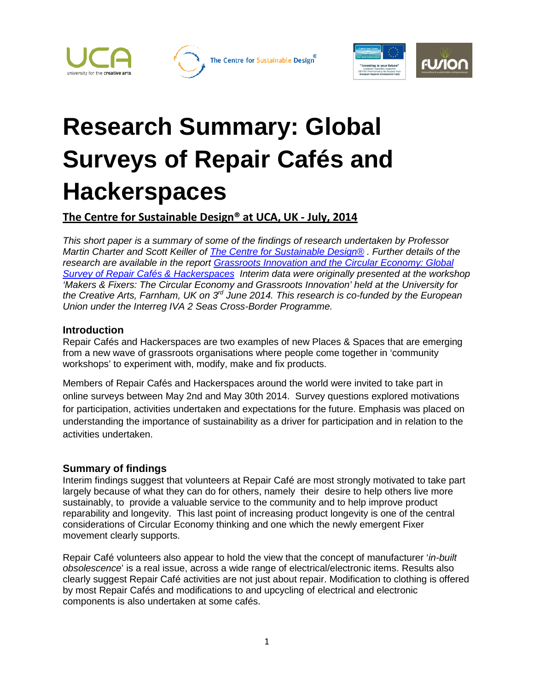





# **Research Summary: Global Surveys of Repair Cafés and Hackerspaces**

### **The Centre for Sustainable Design® at UCA, UK - July, 2014**

*This short paper is a summary of some of the findings of research undertaken by Professor Martin Charter and Scott Keiller of [The Centre for Sustainable Design®](http://www.cfsd.org.uk/) . Further details of the research are available in the report [Grassroots Innovation and the Circular Economy: Global](http://cfsd.org.uk/site-pdfs/circular-economy-and-grassroots-innovation/Survey-of-Repair-Cafes-and-Hackerspaces.pdf)  [Survey of Repair Cafés & Hackerspaces](http://cfsd.org.uk/site-pdfs/circular-economy-and-grassroots-innovation/Survey-of-Repair-Cafes-and-Hackerspaces.pdf) Interim data were originally presented at the workshop 'Makers & Fixers: The Circular Economy and Grassroots Innovation' held at the University for the Creative Arts, Farnham, UK on 3rd June 2014. This research is co-funded by the European Union under the Interreg IVA 2 Seas Cross-Border Programme.*

### **Introduction**

Repair Cafés and Hackerspaces are two examples of new Places & Spaces that are emerging from a new wave of grassroots organisations where people come together in 'community workshops' to experiment with, modify, make and fix products.

Members of Repair Cafés and Hackerspaces around the world were invited to take part in online surveys between May 2nd and May 30th 2014. Survey questions explored motivations for participation, activities undertaken and expectations for the future. Emphasis was placed on understanding the importance of sustainability as a driver for participation and in relation to the activities undertaken.

### **Summary of findings**

Interim findings suggest that volunteers at Repair Café are most strongly motivated to take part largely because of what they can do for others, namely their desire to help others live more sustainably, to provide a valuable service to the community and to help improve product reparability and longevity. This last point of increasing product longevity is one of the central considerations of Circular Economy thinking and one which the newly emergent Fixer movement clearly supports.

Repair Café volunteers also appear to hold the view that the concept of manufacturer '*in-built obsolescence*' is a real issue, across a wide range of electrical/electronic items. Results also clearly suggest Repair Café activities are not just about repair. Modification to clothing is offered by most Repair Cafés and modifications to and upcycling of electrical and electronic components is also undertaken at some cafés.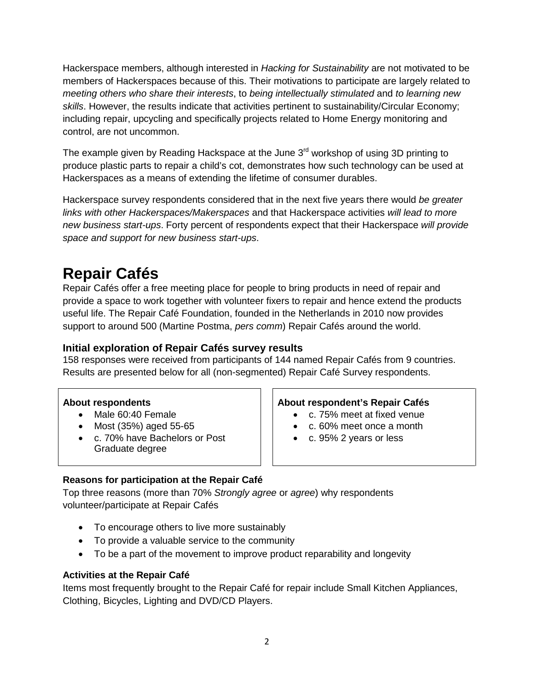Hackerspace members, although interested in *Hacking for Sustainability* are not motivated to be members of Hackerspaces because of this. Their motivations to participate are largely related to *meeting others who share their interests*, to *being intellectually stimulated* and *to learning new skills*. However, the results indicate that activities pertinent to sustainability/Circular Economy; including repair, upcycling and specifically projects related to Home Energy monitoring and control, are not uncommon.

The example given by Reading Hackspace at the June  $3<sup>rd</sup>$  workshop of using 3D printing to produce plastic parts to repair a child's cot, demonstrates how such technology can be used at Hackerspaces as a means of extending the lifetime of consumer durables.

Hackerspace survey respondents considered that in the next five years there would *be greater links with other Hackerspaces/Makerspaces* and that Hackerspace activities *will lead to more new business start-ups*. Forty percent of respondents expect that their Hackerspace *will provide space and support for new business start-ups*.

# **Repair Cafés**

Repair Cafés offer a free meeting place for people to bring products in need of repair and provide a space to work together with volunteer fixers to repair and hence extend the products useful life. The Repair Café Foundation, founded in the Netherlands in 2010 now provides support to around 500 (Martine Postma, *pers comm*) Repair Cafés around the world.

### **Initial exploration of Repair Cafés survey results**

158 responses were received from participants of 144 named Repair Cafés from 9 countries. Results are presented below for all (non-segmented) Repair Café Survey respondents.

- 
- Most (35%) aged 55-65  $\vert \vert$  c. 60% meet once a month
- c. 70% have Bachelors or Post Graduate degree

### **About respondents About respondent's Repair Cafés**

- Male 60:40 Female c. 75% meet at fixed venue
	-
	- c. 95% 2 years or less

### **Reasons for participation at the Repair Café**

Top three reasons (more than 70% *Strongly agree* or *agree*) why respondents volunteer/participate at Repair Cafés

- To encourage others to live more sustainably
- To provide a valuable service to the community
- To be a part of the movement to improve product reparability and longevity

### **Activities at the Repair Café**

Items most frequently brought to the Repair Café for repair include Small Kitchen Appliances, Clothing, Bicycles, Lighting and DVD/CD Players.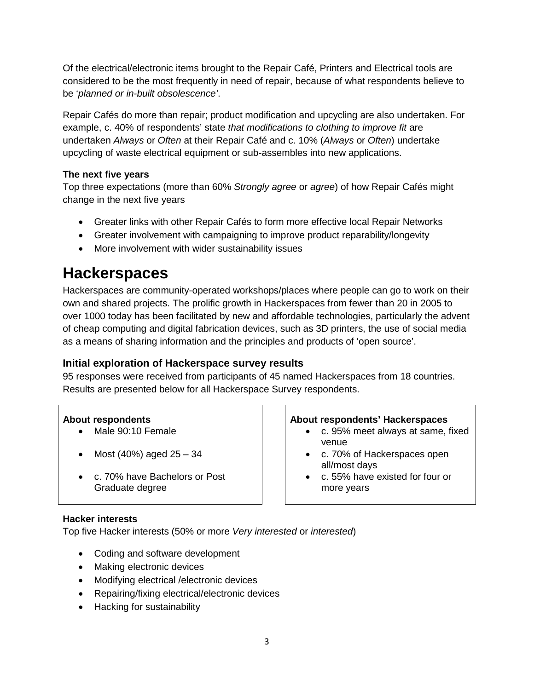Of the electrical/electronic items brought to the Repair Café, Printers and Electrical tools are considered to be the most frequently in need of repair, because of what respondents believe to be '*planned or in-built obsolescence'*.

Repair Cafés do more than repair; product modification and upcycling are also undertaken. For example, c. 40% of respondents' state *that modifications to clothing to improve fit* are undertaken *Always* or *Often* at their Repair Café and c. 10% (*Always* or *Often*) undertake upcycling of waste electrical equipment or sub-assembles into new applications.

### **The next five years**

Top three expectations (more than 60% *Strongly agree* or *agree*) of how Repair Cafés might change in the next five years

- Greater links with other Repair Cafés to form more effective local Repair Networks
- Greater involvement with campaigning to improve product reparability/longevity
- More involvement with wider sustainability issues

## **Hackerspaces**

Hackerspaces are community-operated workshops/places where people can go to work on their own and shared projects. The prolific growth in Hackerspaces from fewer than 20 in 2005 to over 1000 today has been facilitated by new and affordable technologies, particularly the advent of cheap computing and digital fabrication devices, such as 3D printers, the use of social media as a means of sharing information and the principles and products of 'open source'.

### **Initial exploration of Hackerspace survey results**

95 responses were received from participants of 45 named Hackerspaces from 18 countries. Results are presented below for all Hackerspace Survey respondents.

- 
- 
- c. 70% have Bachelors or Post Graduate degree

### **About respondents About respondents' Hackerspaces**

- Male 90:10 Female  **C. 95%** meet always at same, fixed venue
- Most (40%) aged 25 34  **c. 70% of Hackerspaces open** all/most days
	- c. 55% have existed for four or more years

### **Hacker interests**

Top five Hacker interests (50% or more *Very interested* or *interested*)

- Coding and software development
- Making electronic devices
- Modifying electrical /electronic devices
- Repairing/fixing electrical/electronic devices
- Hacking for sustainability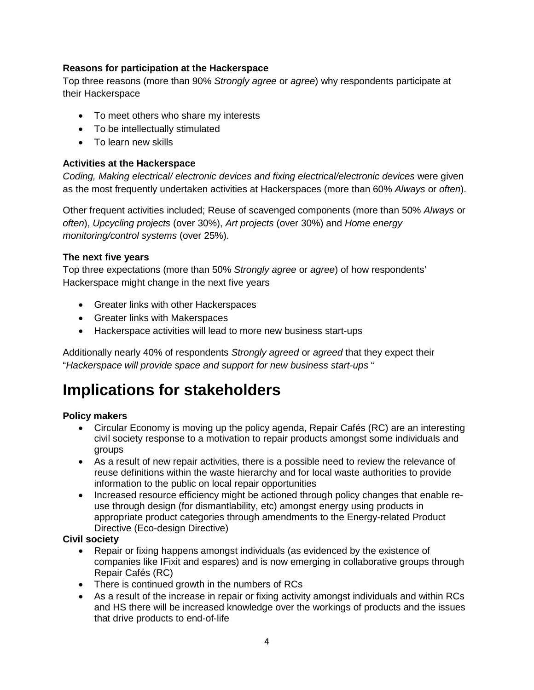### **Reasons for participation at the Hackerspace**

Top three reasons (more than 90% *Strongly agree* or *agree*) why respondents participate at their Hackerspace

- To meet others who share my interests
- To be intellectually stimulated
- To learn new skills

### **Activities at the Hackerspace**

*Coding, Making electrical/ electronic devices and fixing electrical/electronic devices* were given as the most frequently undertaken activities at Hackerspaces (more than 60% *Always* or *often*).

Other frequent activities included; Reuse of scavenged components (more than 50% *Always* or *often*), *Upcycling projects* (over 30%), *Art projects* (over 30%) and *Home energy monitoring/control systems* (over 25%).

### **The next five years**

Top three expectations (more than 50% *Strongly agree* or *agree*) of how respondents' Hackerspace might change in the next five years

- Greater links with other Hackerspaces
- Greater links with Makerspaces
- Hackerspace activities will lead to more new business start-ups

Additionally nearly 40% of respondents *Strongly agreed* or *agreed* that they expect their "*Hackerspace will provide space and support for new business start-ups* "

# **Implications for stakeholders**

### **Policy makers**

- Circular Economy is moving up the policy agenda, Repair Cafés (RC) are an interesting civil society response to a motivation to repair products amongst some individuals and groups
- As a result of new repair activities, there is a possible need to review the relevance of reuse definitions within the waste hierarchy and for local waste authorities to provide information to the public on local repair opportunities
- Increased resource efficiency might be actioned through policy changes that enable reuse through design (for dismantlability, etc) amongst energy using products in appropriate product categories through amendments to the Energy-related Product Directive (Eco-design Directive)

### **Civil society**

- Repair or fixing happens amongst individuals (as evidenced by the existence of companies like IFixit and espares) and is now emerging in collaborative groups through Repair Cafés (RC)
- There is continued growth in the numbers of RCs
- As a result of the increase in repair or fixing activity amongst individuals and within RCs and HS there will be increased knowledge over the workings of products and the issues that drive products to end-of-life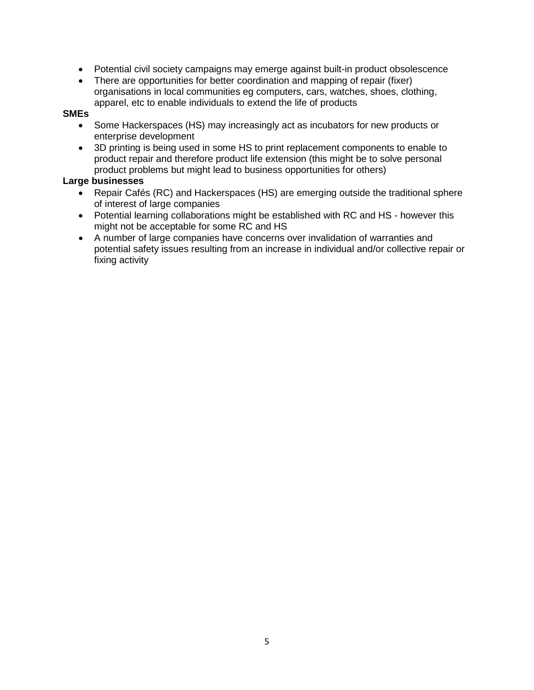- Potential civil society campaigns may emerge against built-in product obsolescence
- There are opportunities for better coordination and mapping of repair (fixer) organisations in local communities eg computers, cars, watches, shoes, clothing, apparel, etc to enable individuals to extend the life of products

### **SMEs**

- Some Hackerspaces (HS) may increasingly act as incubators for new products or enterprise development
- 3D printing is being used in some HS to print replacement components to enable to product repair and therefore product life extension (this might be to solve personal product problems but might lead to business opportunities for others)

### **Large businesses**

- Repair Cafés (RC) and Hackerspaces (HS) are emerging outside the traditional sphere of interest of large companies
- Potential learning collaborations might be established with RC and HS however this might not be acceptable for some RC and HS
- A number of large companies have concerns over invalidation of warranties and potential safety issues resulting from an increase in individual and/or collective repair or fixing activity